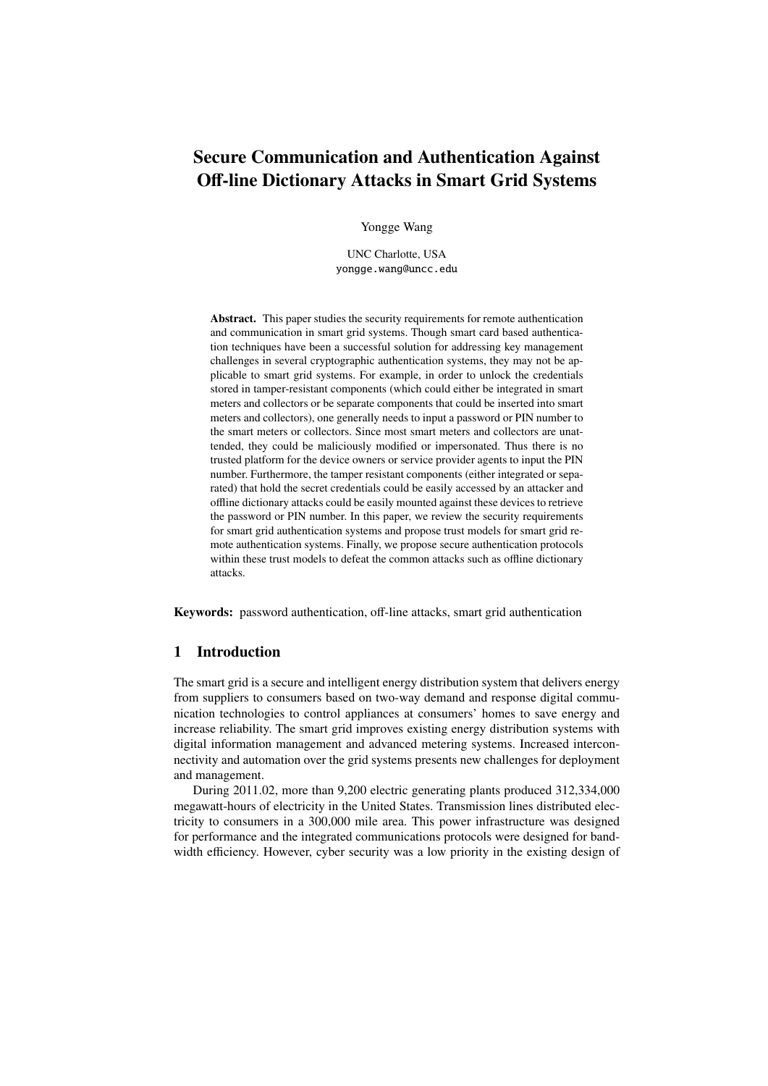# Secure Communication and Authentication Against Off-line Dictionary Attacks in Smart Grid Systems

Yongge Wang

UNC Charlotte, USA yongge.wang@uncc.edu

Abstract. This paper studies the security requirements for remote authentication and communication in smart grid systems. Though smart card based authentication techniques have been a successful solution for addressing key management challenges in several cryptographic authentication systems, they may not be applicable to smart grid systems. For example, in order to unlock the credentials stored in tamper-resistant components (which could either be integrated in smart meters and collectors or be separate components that could be inserted into smart meters and collectors), one generally needs to input a password or PIN number to the smart meters or collectors. Since most smart meters and collectors are unattended, they could be maliciously modified or impersonated. Thus there is no trusted platform for the device owners or service provider agents to input the PIN number. Furthermore, the tamper resistant components (either integrated or separated) that hold the secret credentials could be easily accessed by an attacker and offline dictionary attacks could be easily mounted against these devices to retrieve the password or PIN number. In this paper, we review the security requirements for smart grid authentication systems and propose trust models for smart grid remote authentication systems. Finally, we propose secure authentication protocols within these trust models to defeat the common attacks such as offline dictionary attacks.

Keywords: password authentication, off-line attacks, smart grid authentication

#### 1 Introduction

The smart grid is a secure and intelligent energy distribution system that delivers energy from suppliers to consumers based on two-way demand and response digital communication technologies to control appliances at consumers' homes to save energy and increase reliability. The smart grid improves existing energy distribution systems with digital information management and advanced metering systems. Increased interconnectivity and automation over the grid systems presents new challenges for deployment and management.

During 2011.02, more than 9,200 electric generating plants produced 312,334,000 megawatt-hours of electricity in the United States. Transmission lines distributed electricity to consumers in a 300,000 mile area. This power infrastructure was designed for performance and the integrated communications protocols were designed for bandwidth efficiency. However, cyber security was a low priority in the existing design of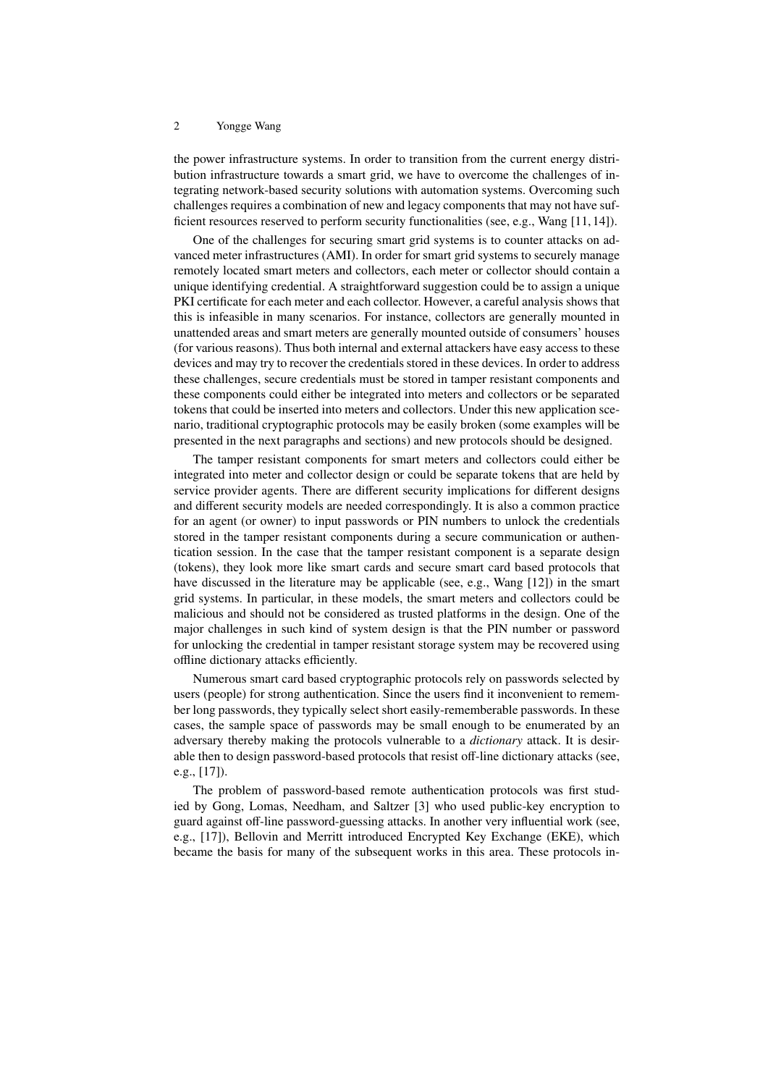the power infrastructure systems. In order to transition from the current energy distribution infrastructure towards a smart grid, we have to overcome the challenges of integrating network-based security solutions with automation systems. Overcoming such challenges requires a combination of new and legacy components that may not have sufficient resources reserved to perform security functionalities (see, e.g., Wang [11, 14]).

One of the challenges for securing smart grid systems is to counter attacks on advanced meter infrastructures (AMI). In order for smart grid systems to securely manage remotely located smart meters and collectors, each meter or collector should contain a unique identifying credential. A straightforward suggestion could be to assign a unique PKI certificate for each meter and each collector. However, a careful analysis shows that this is infeasible in many scenarios. For instance, collectors are generally mounted in unattended areas and smart meters are generally mounted outside of consumers' houses (for various reasons). Thus both internal and external attackers have easy access to these devices and may try to recover the credentials stored in these devices. In order to address these challenges, secure credentials must be stored in tamper resistant components and these components could either be integrated into meters and collectors or be separated tokens that could be inserted into meters and collectors. Under this new application scenario, traditional cryptographic protocols may be easily broken (some examples will be presented in the next paragraphs and sections) and new protocols should be designed.

The tamper resistant components for smart meters and collectors could either be integrated into meter and collector design or could be separate tokens that are held by service provider agents. There are different security implications for different designs and different security models are needed correspondingly. It is also a common practice for an agent (or owner) to input passwords or PIN numbers to unlock the credentials stored in the tamper resistant components during a secure communication or authentication session. In the case that the tamper resistant component is a separate design (tokens), they look more like smart cards and secure smart card based protocols that have discussed in the literature may be applicable (see, e.g., Wang [12]) in the smart grid systems. In particular, in these models, the smart meters and collectors could be malicious and should not be considered as trusted platforms in the design. One of the major challenges in such kind of system design is that the PIN number or password for unlocking the credential in tamper resistant storage system may be recovered using offline dictionary attacks efficiently.

Numerous smart card based cryptographic protocols rely on passwords selected by users (people) for strong authentication. Since the users find it inconvenient to remember long passwords, they typically select short easily-rememberable passwords. In these cases, the sample space of passwords may be small enough to be enumerated by an adversary thereby making the protocols vulnerable to a *dictionary* attack. It is desirable then to design password-based protocols that resist off-line dictionary attacks (see, e.g., [17]).

The problem of password-based remote authentication protocols was first studied by Gong, Lomas, Needham, and Saltzer [3] who used public-key encryption to guard against off-line password-guessing attacks. In another very influential work (see, e.g., [17]), Bellovin and Merritt introduced Encrypted Key Exchange (EKE), which became the basis for many of the subsequent works in this area. These protocols in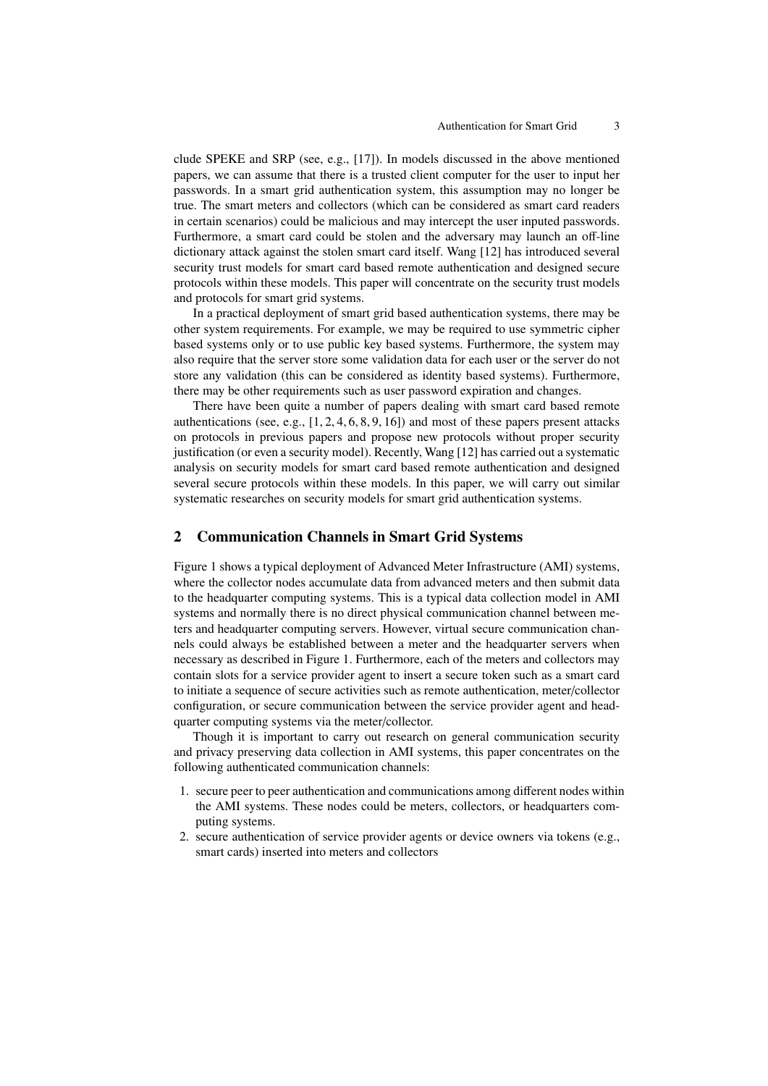clude SPEKE and SRP (see, e.g., [17]). In models discussed in the above mentioned papers, we can assume that there is a trusted client computer for the user to input her passwords. In a smart grid authentication system, this assumption may no longer be true. The smart meters and collectors (which can be considered as smart card readers in certain scenarios) could be malicious and may intercept the user inputed passwords. Furthermore, a smart card could be stolen and the adversary may launch an off-line dictionary attack against the stolen smart card itself. Wang [12] has introduced several security trust models for smart card based remote authentication and designed secure protocols within these models. This paper will concentrate on the security trust models and protocols for smart grid systems.

In a practical deployment of smart grid based authentication systems, there may be other system requirements. For example, we may be required to use symmetric cipher based systems only or to use public key based systems. Furthermore, the system may also require that the server store some validation data for each user or the server do not store any validation (this can be considered as identity based systems). Furthermore, there may be other requirements such as user password expiration and changes.

There have been quite a number of papers dealing with smart card based remote authentications (see, e.g.,  $[1, 2, 4, 6, 8, 9, 16]$ ) and most of these papers present attacks on protocols in previous papers and propose new protocols without proper security justification (or even a security model). Recently, Wang [12] has carried out a systematic analysis on security models for smart card based remote authentication and designed several secure protocols within these models. In this paper, we will carry out similar systematic researches on security models for smart grid authentication systems.

## 2 Communication Channels in Smart Grid Systems

Figure 1 shows a typical deployment of Advanced Meter Infrastructure (AMI) systems, where the collector nodes accumulate data from advanced meters and then submit data to the headquarter computing systems. This is a typical data collection model in AMI systems and normally there is no direct physical communication channel between meters and headquarter computing servers. However, virtual secure communication channels could always be established between a meter and the headquarter servers when necessary as described in Figure 1. Furthermore, each of the meters and collectors may contain slots for a service provider agent to insert a secure token such as a smart card to initiate a sequence of secure activities such as remote authentication, meter/collector configuration, or secure communication between the service provider agent and headquarter computing systems via the meter/collector.

Though it is important to carry out research on general communication security and privacy preserving data collection in AMI systems, this paper concentrates on the following authenticated communication channels:

- 1. secure peer to peer authentication and communications among different nodes within the AMI systems. These nodes could be meters, collectors, or headquarters computing systems.
- 2. secure authentication of service provider agents or device owners via tokens (e.g., smart cards) inserted into meters and collectors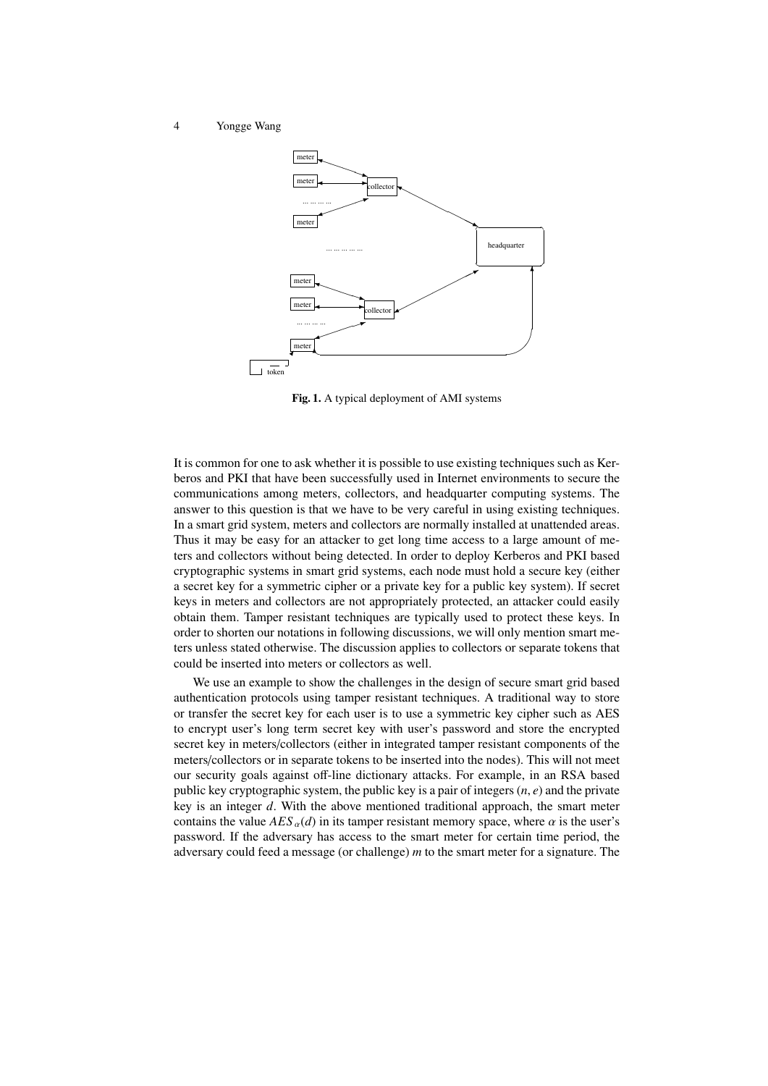

Fig. 1. A typical deployment of AMI systems

It is common for one to ask whether it is possible to use existing techniques such as Kerberos and PKI that have been successfully used in Internet environments to secure the communications among meters, collectors, and headquarter computing systems. The answer to this question is that we have to be very careful in using existing techniques. In a smart grid system, meters and collectors are normally installed at unattended areas. Thus it may be easy for an attacker to get long time access to a large amount of meters and collectors without being detected. In order to deploy Kerberos and PKI based cryptographic systems in smart grid systems, each node must hold a secure key (either a secret key for a symmetric cipher or a private key for a public key system). If secret keys in meters and collectors are not appropriately protected, an attacker could easily obtain them. Tamper resistant techniques are typically used to protect these keys. In order to shorten our notations in following discussions, we will only mention smart meters unless stated otherwise. The discussion applies to collectors or separate tokens that could be inserted into meters or collectors as well.

We use an example to show the challenges in the design of secure smart grid based authentication protocols using tamper resistant techniques. A traditional way to store or transfer the secret key for each user is to use a symmetric key cipher such as AES to encrypt user's long term secret key with user's password and store the encrypted secret key in meters/collectors (either in integrated tamper resistant components of the meters/collectors or in separate tokens to be inserted into the nodes). This will not meet our security goals against off-line dictionary attacks. For example, in an RSA based public key cryptographic system, the public key is a pair of integers (*n*, *<sup>e</sup>*) and the private key is an integer *d*. With the above mentioned traditional approach, the smart meter contains the value  $AES_{\alpha}(d)$  in its tamper resistant memory space, where  $\alpha$  is the user's password. If the adversary has access to the smart meter for certain time period, the adversary could feed a message (or challenge) *m* to the smart meter for a signature. The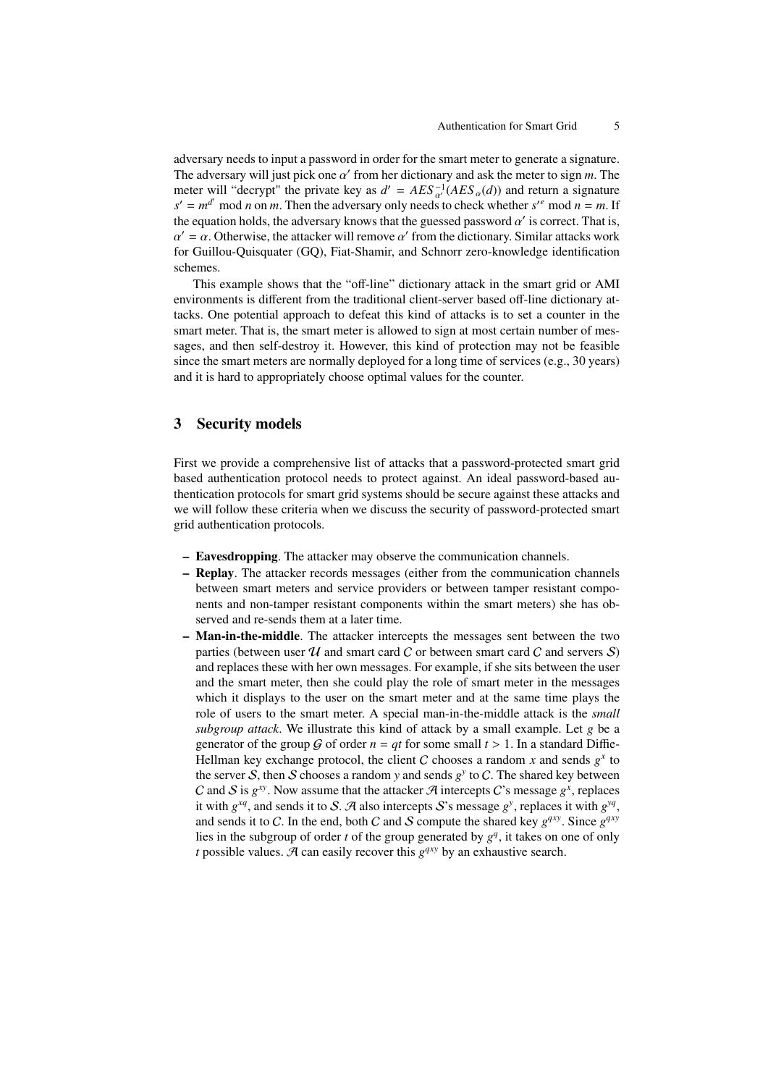adversary needs to input a password in order for the smart meter to generate a signature. The adversary will just pick one  $\alpha'$  from her dictionary and ask the meter to sign *m*. The meter will "decrypt" the private key as  $d' = 4FS^{-1}(4FS(G))$  and return a signature meter will "decrypt" the private key as  $d' = AES_{\alpha'}^{-1}(AES_{\alpha}(d))$  and return a signature  $s' = m^{d'}$  mod n on m. Then the adversary only needs to check whether  $s^{\prime e}$  mod n = m. If  $s' = m^{d'} \mod n$  on *m*. Then the adversary only needs to check whether  $s'^e \mod n = m$ . If the equation holds, the adversary knows that the guessed password  $\alpha'$  is correct. That is,<br> $\alpha' = \alpha$  Otherwise, the attacker will remove  $\alpha'$  from the dictionary. Similar attacks work and an extremely, and annually our content of a stream are accordingly community increased for Guillou-Quisquater (GQ), Fiat-Shamir, and Schnorr zero-knowledge identification  $\alpha' = \alpha$ . Otherwise, the attacker will remove  $\alpha'$  from the dictionary. Similar attacks work<br>or Guillou-Quisquater (GO). Fiat-Shamir, and Schnorr zero-knowledge identification schemes.

This example shows that the "off-line" dictionary attack in the smart grid or AMI environments is different from the traditional client-server based off-line dictionary attacks. One potential approach to defeat this kind of attacks is to set a counter in the smart meter. That is, the smart meter is allowed to sign at most certain number of messages, and then self-destroy it. However, this kind of protection may not be feasible since the smart meters are normally deployed for a long time of services (e.g., 30 years) and it is hard to appropriately choose optimal values for the counter.

## 3 Security models

First we provide a comprehensive list of attacks that a password-protected smart grid based authentication protocol needs to protect against. An ideal password-based authentication protocols for smart grid systems should be secure against these attacks and we will follow these criteria when we discuss the security of password-protected smart grid authentication protocols.

- Eavesdropping. The attacker may observe the communication channels.
- Replay. The attacker records messages (either from the communication channels between smart meters and service providers or between tamper resistant components and non-tamper resistant components within the smart meters) she has observed and re-sends them at a later time.
- Man-in-the-middle. The attacker intercepts the messages sent between the two parties (between user  $U$  and smart card C or between smart card C and servers S) and replaces these with her own messages. For example, if she sits between the user and the smart meter, then she could play the role of smart meter in the messages which it displays to the user on the smart meter and at the same time plays the role of users to the smart meter. A special man-in-the-middle attack is the *small subgroup attack*. We illustrate this kind of attack by a small example. Let *g* be a generator of the group G of order  $n = qt$  for some small  $t > 1$ . In a standard Diffie-Hellman key exchange protocol, the client C chooses a random  $x$  and sends  $g^x$  to the server S, then S chooses a random *y* and sends  $g^y$  to C. The shared key between C and S is  $g^{xy}$ . Now assume that the attacker A intercepts C's message  $g^x$ , replaces it with  $g^{xq}$ , and sends it to S. A also intercepts S's message  $g^y$ , replaces it with  $g^{yq}$ , and sends it to C. In the end, both C and S compute the shared key  $g^{qxy}$ . Since  $g^{qxy}$ lies in the subgroup of order  $t$  of the group generated by  $g<sup>q</sup>$ , it takes on one of only *t* possible values. A can easily recover this  $g^{qxy}$  by an exhaustive search.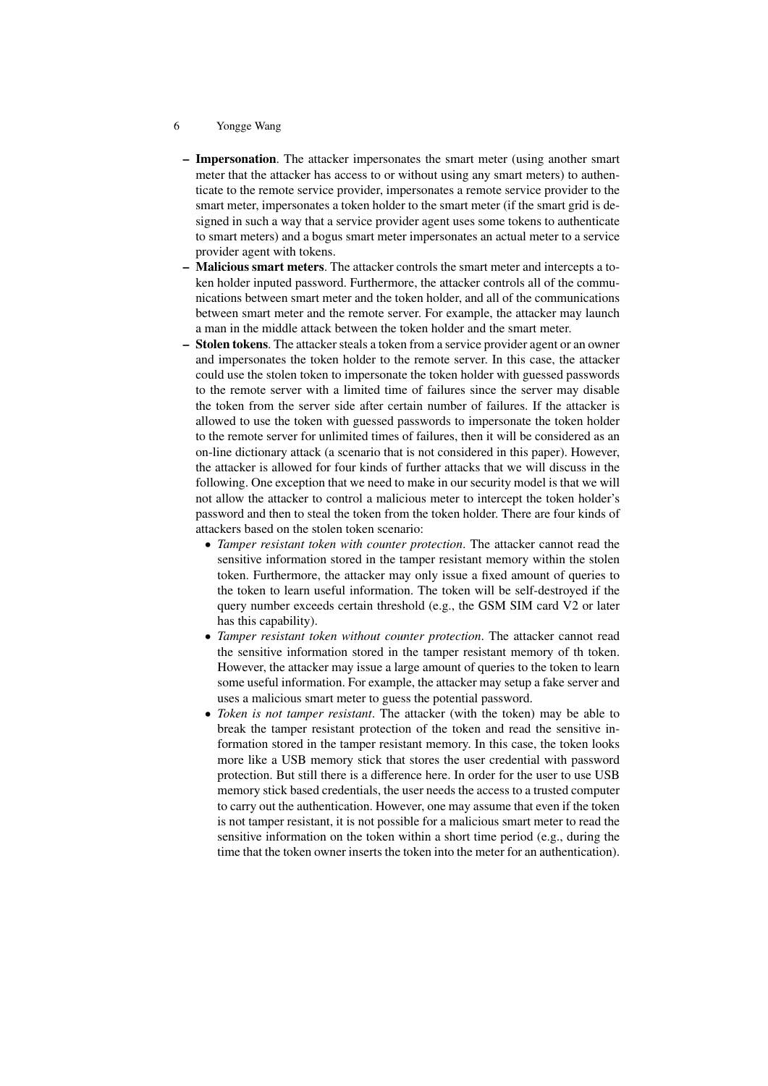- 6 Yongge Wang
	- Impersonation. The attacker impersonates the smart meter (using another smart meter that the attacker has access to or without using any smart meters) to authenticate to the remote service provider, impersonates a remote service provider to the smart meter, impersonates a token holder to the smart meter (if the smart grid is designed in such a way that a service provider agent uses some tokens to authenticate to smart meters) and a bogus smart meter impersonates an actual meter to a service provider agent with tokens.
	- Malicious smart meters. The attacker controls the smart meter and intercepts a token holder inputed password. Furthermore, the attacker controls all of the communications between smart meter and the token holder, and all of the communications between smart meter and the remote server. For example, the attacker may launch a man in the middle attack between the token holder and the smart meter.
	- Stolen tokens. The attacker steals a token from a service provider agent or an owner and impersonates the token holder to the remote server. In this case, the attacker could use the stolen token to impersonate the token holder with guessed passwords to the remote server with a limited time of failures since the server may disable the token from the server side after certain number of failures. If the attacker is allowed to use the token with guessed passwords to impersonate the token holder to the remote server for unlimited times of failures, then it will be considered as an on-line dictionary attack (a scenario that is not considered in this paper). However, the attacker is allowed for four kinds of further attacks that we will discuss in the following. One exception that we need to make in our security model is that we will not allow the attacker to control a malicious meter to intercept the token holder's password and then to steal the token from the token holder. There are four kinds of attackers based on the stolen token scenario:
		- *Tamper resistant token with counter protection*. The attacker cannot read the sensitive information stored in the tamper resistant memory within the stolen token. Furthermore, the attacker may only issue a fixed amount of queries to the token to learn useful information. The token will be self-destroyed if the query number exceeds certain threshold (e.g., the GSM SIM card V2 or later has this capability).
		- *Tamper resistant token without counter protection*. The attacker cannot read the sensitive information stored in the tamper resistant memory of th token. However, the attacker may issue a large amount of queries to the token to learn some useful information. For example, the attacker may setup a fake server and uses a malicious smart meter to guess the potential password.
		- *Token is not tamper resistant*. The attacker (with the token) may be able to break the tamper resistant protection of the token and read the sensitive information stored in the tamper resistant memory. In this case, the token looks more like a USB memory stick that stores the user credential with password protection. But still there is a difference here. In order for the user to use USB memory stick based credentials, the user needs the access to a trusted computer to carry out the authentication. However, one may assume that even if the token is not tamper resistant, it is not possible for a malicious smart meter to read the sensitive information on the token within a short time period (e.g., during the time that the token owner inserts the token into the meter for an authentication).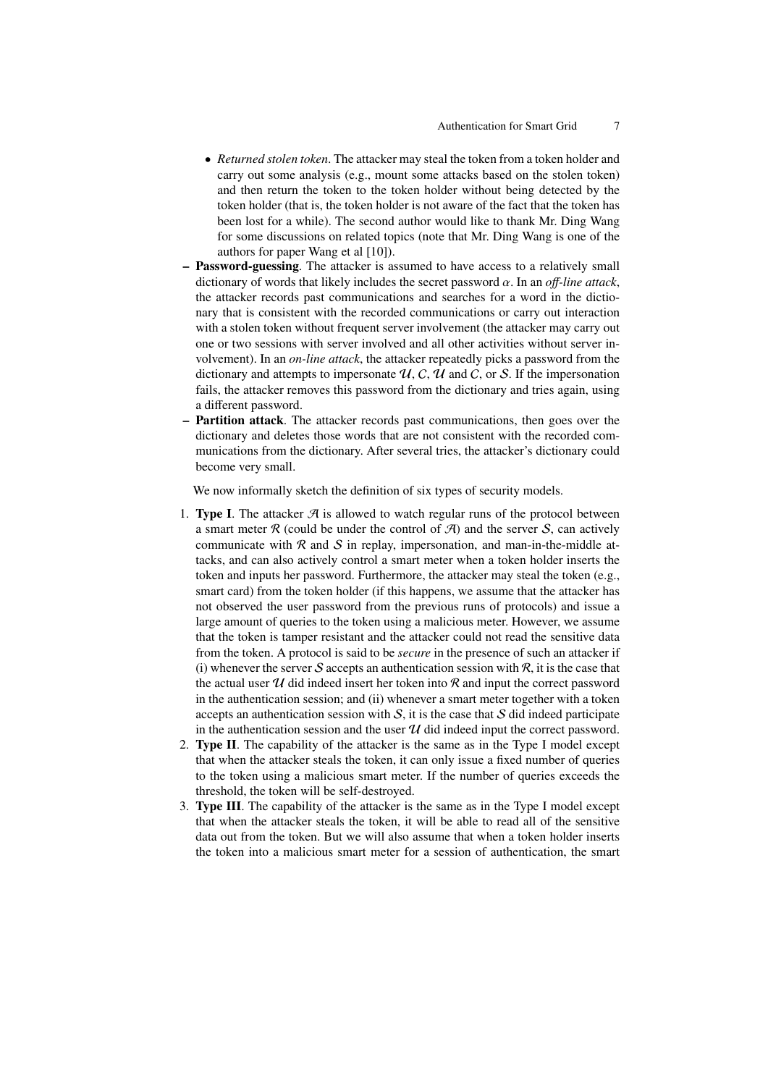- *Returned stolen token*. The attacker may steal the token from a token holder and carry out some analysis (e.g., mount some attacks based on the stolen token) and then return the token to the token holder without being detected by the token holder (that is, the token holder is not aware of the fact that the token has been lost for a while). The second author would like to thank Mr. Ding Wang for some discussions on related topics (note that Mr. Ding Wang is one of the authors for paper Wang et al [10]).
- Password-guessing. The attacker is assumed to have access to a relatively small dictionary of words that likely includes the secret password α. In an *<sup>o</sup>*ff*-line attack*, the attacker records past communications and searches for a word in the dictionary that is consistent with the recorded communications or carry out interaction with a stolen token without frequent server involvement (the attacker may carry out one or two sessions with server involved and all other activities without server involvement). In an *on-line attack*, the attacker repeatedly picks a password from the dictionary and attempts to impersonate  $U, C, U$  and C, or S. If the impersonation fails, the attacker removes this password from the dictionary and tries again, using a different password.
- Partition attack. The attacker records past communications, then goes over the dictionary and deletes those words that are not consistent with the recorded communications from the dictionary. After several tries, the attacker's dictionary could become very small.

We now informally sketch the definition of six types of security models.

- 1. Type I. The attacker  $\mathcal A$  is allowed to watch regular runs of the protocol between a smart meter  $\mathcal R$  (could be under the control of  $\mathcal A$ ) and the server  $\mathcal S$ , can actively communicate with  $R$  and  $S$  in replay, impersonation, and man-in-the-middle attacks, and can also actively control a smart meter when a token holder inserts the token and inputs her password. Furthermore, the attacker may steal the token (e.g., smart card) from the token holder (if this happens, we assume that the attacker has not observed the user password from the previous runs of protocols) and issue a large amount of queries to the token using a malicious meter. However, we assume that the token is tamper resistant and the attacker could not read the sensitive data from the token. A protocol is said to be *secure* in the presence of such an attacker if (i) whenever the server S accepts an authentication session with  $R$ , it is the case that the actual user  $U$  did indeed insert her token into  $R$  and input the correct password in the authentication session; and (ii) whenever a smart meter together with a token accepts an authentication session with  $S$ , it is the case that  $S$  did indeed participate in the authentication session and the user  $\mathcal U$  did indeed input the correct password.
- 2. Type II. The capability of the attacker is the same as in the Type I model except that when the attacker steals the token, it can only issue a fixed number of queries to the token using a malicious smart meter. If the number of queries exceeds the threshold, the token will be self-destroyed.
- 3. Type III. The capability of the attacker is the same as in the Type I model except that when the attacker steals the token, it will be able to read all of the sensitive data out from the token. But we will also assume that when a token holder inserts the token into a malicious smart meter for a session of authentication, the smart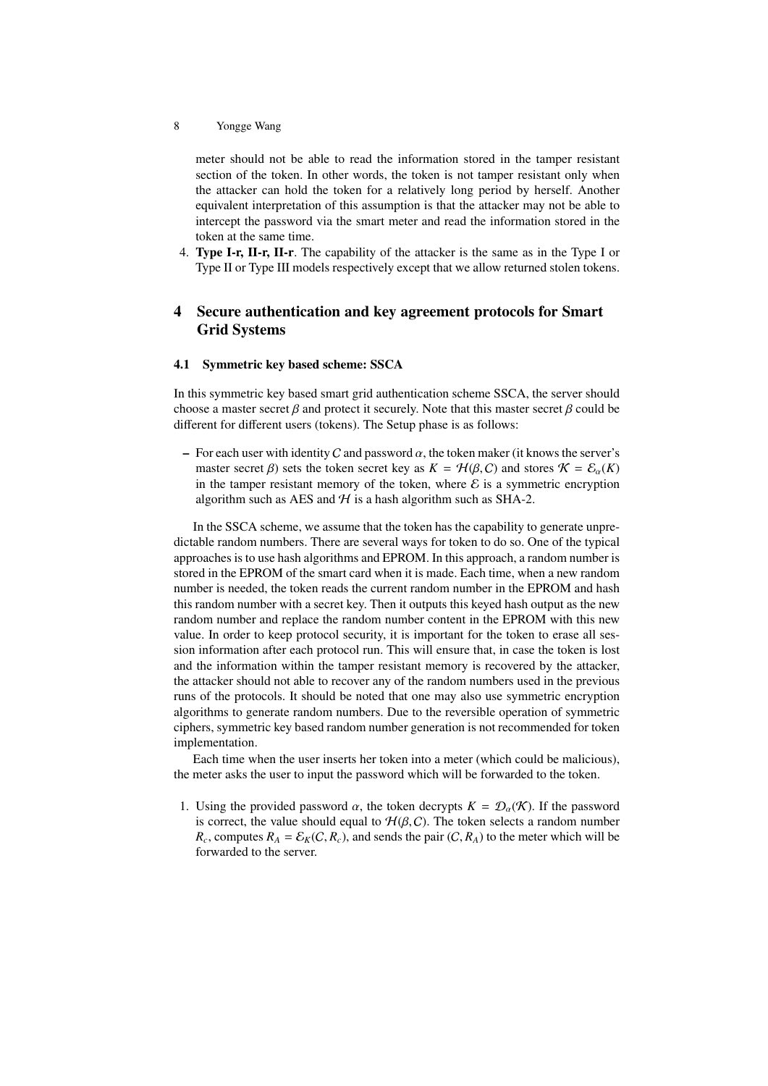meter should not be able to read the information stored in the tamper resistant section of the token. In other words, the token is not tamper resistant only when the attacker can hold the token for a relatively long period by herself. Another equivalent interpretation of this assumption is that the attacker may not be able to intercept the password via the smart meter and read the information stored in the token at the same time.

4. Type I-r, II-r, II-r. The capability of the attacker is the same as in the Type I or Type II or Type III models respectively except that we allow returned stolen tokens.

# 4 Secure authentication and key agreement protocols for Smart Grid Systems

#### 4.1 Symmetric key based scheme: SSCA

In this symmetric key based smart grid authentication scheme SSCA, the server should choose a master secret  $\beta$  and protect it securely. Note that this master secret  $\beta$  could be different for different users (tokens). The Setup phase is as follows:

– For each user with identity C and password  $\alpha$ , the token maker (it knows the server's master secret  $\beta$ ) sets the token secret key as  $K = H(\beta, C)$  and stores  $\mathcal{K} = \mathcal{E}_{\alpha}(K)$ in the tamper resistant memory of the token, where  $\mathcal E$  is a symmetric encryption algorithm such as AES and  $H$  is a hash algorithm such as SHA-2.

In the SSCA scheme, we assume that the token has the capability to generate unpredictable random numbers. There are several ways for token to do so. One of the typical approaches is to use hash algorithms and EPROM. In this approach, a random number is stored in the EPROM of the smart card when it is made. Each time, when a new random number is needed, the token reads the current random number in the EPROM and hash this random number with a secret key. Then it outputs this keyed hash output as the new random number and replace the random number content in the EPROM with this new value. In order to keep protocol security, it is important for the token to erase all session information after each protocol run. This will ensure that, in case the token is lost and the information within the tamper resistant memory is recovered by the attacker, the attacker should not able to recover any of the random numbers used in the previous runs of the protocols. It should be noted that one may also use symmetric encryption algorithms to generate random numbers. Due to the reversible operation of symmetric ciphers, symmetric key based random number generation is not recommended for token implementation.

Each time when the user inserts her token into a meter (which could be malicious), the meter asks the user to input the password which will be forwarded to the token.

1. Using the provided password  $\alpha$ , the token decrypts  $K = \mathcal{D}_{\alpha}(\mathcal{K})$ . If the password is correct, the value should equal to  $H(\beta, C)$ . The token selects a random number  $R_c$ , computes  $R_A = \mathcal{E}_K(C, R_c)$ , and sends the pair  $(C, R_A)$  to the meter which will be forwarded to the server.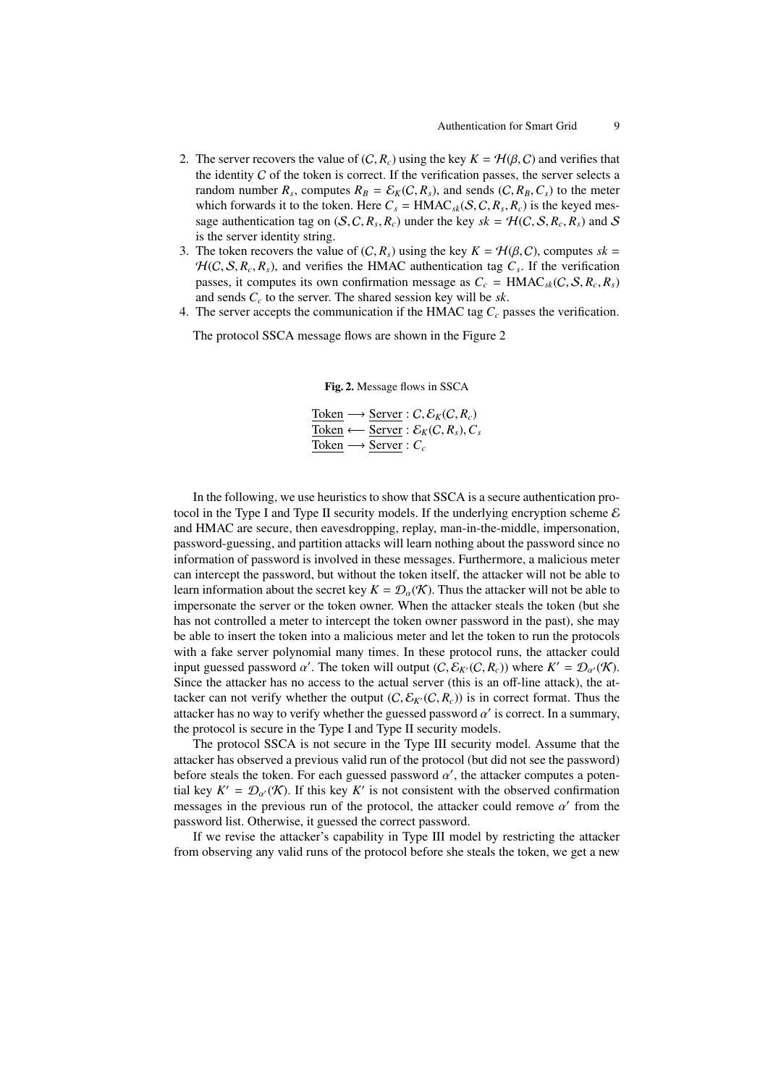- 2. The server recovers the value of  $(C, R_c)$  using the key  $K = H(\beta, C)$  and verifies that the identity  $C$  of the token is correct. If the verification passes, the server selects a random number  $R_s$ , computes  $R_B = \mathcal{E}_K(C, R_s)$ , and sends  $(C, R_B, C_s)$  to the meter<br>which forwards it to the token Here  $C = \text{HMAC}$ ,  $(S \cap R, R)$  is the keyed meswhich forwards it to the token. Here  $C_s = \text{HMAC}_{sk}(S, C, R_s, R_c)$  is the keyed mes-<br>sage authentication tag on  $(S, C, R, R)$  under the key  $sk = H(C, S, R, R)$  and S sage authentication tag on  $(S, C, R_s, R_c)$  under the key  $sk = H(C, S, R_c, R_s)$  and S is the server identity string is the server identity string.
- 3. The token recovers the value of  $(C, R_s)$  using the key  $K = H(\beta, C)$ , computes  $sk =$  $H(C, S, R_c, R_s)$ , and verifies the HMAC authentication tag  $C_s$ . If the verification passes it computes its own confirmation passes as  $C = HMAC(G, SR, R_s)$ passes, it computes its own confirmation message as  $C_c$  = HMAC<sub>sk</sub>(C, S,  $R_c$ ,  $R_s$ ) and sends *C<sup>c</sup>* to the server. The shared session key will be *sk*.
- 4. The server accepts the communication if the HMAC tag *C<sup>c</sup>* passes the verification.

The protocol SSCA message flows are shown in the Figure 2

Fig. 2. Message flows in SSCA

 $\text{Token} \longrightarrow \text{Server} : C, \mathcal{E}_K(C, R_c)$  $\text{Token} \longleftarrow \text{Server} : \mathcal{E}_K(C, R_s), C_s$ Token  $\longrightarrow$  Server :  $C_c$ 

In the following, we use heuristics to show that SSCA is a secure authentication protocol in the Type I and Type II security models. If the underlying encryption scheme  $\mathcal E$ and HMAC are secure, then eavesdropping, replay, man-in-the-middle, impersonation, password-guessing, and partition attacks will learn nothing about the password since no information of password is involved in these messages. Furthermore, a malicious meter can intercept the password, but without the token itself, the attacker will not be able to learn information about the secret key  $K = \mathcal{D}_{\alpha}(\mathcal{K})$ . Thus the attacker will not be able to impersonate the server or the token owner. When the attacker steals the token (but she has not controlled a meter to intercept the token owner password in the past), she may be able to insert the token into a malicious meter and let the token to run the protocols with a fake server polynomial many times. In these protocol runs, the attacker could input guessed password  $\alpha'$ . The token will output  $(C, \mathcal{E}_{K'}(C, R_c))$  where  $K' = \mathcal{D}_{\alpha'}(\mathcal{K})$ .<br>Since the attacker has no access to the actual server (this is an off-line attack) the at-Since the attacker has no access to the actual server (this is an off-line attack), the attacker can not verify whether the output  $(C, \mathcal{E}_{K'}(C, R_c))$  is in correct format. Thus the attacker has no way to verify whether the guessed password  $\alpha'$  is correct. In a summary, the protocol is secure in the Type I and Type II security models the protocol is secure in the Type I and Type II security models.

The protocol SSCA is not secure in the Type III security model. Assume that the attacker has observed a previous valid run of the protocol (but did not see the password) before steals the token. For each guessed password  $\alpha'$ , the attacker computes a potential key  $K' = \mathcal{D} \cdot (K)$ . If this key  $K'$  is not consistent with the observed confirmation tial key  $K' = \mathcal{D}_{\alpha'}(K)$ . If this key K' is not consistent with the observed confirmation<br>messages in the provisors we of the protecol, the strollar sould sprove of from the messages in the previous run of the protocol, the attacker could remove  $\alpha'$  from the password list. Otherwise it guessed the correct password password list. Otherwise, it guessed the correct password.

If we revise the attacker's capability in Type III model by restricting the attacker from observing any valid runs of the protocol before she steals the token, we get a new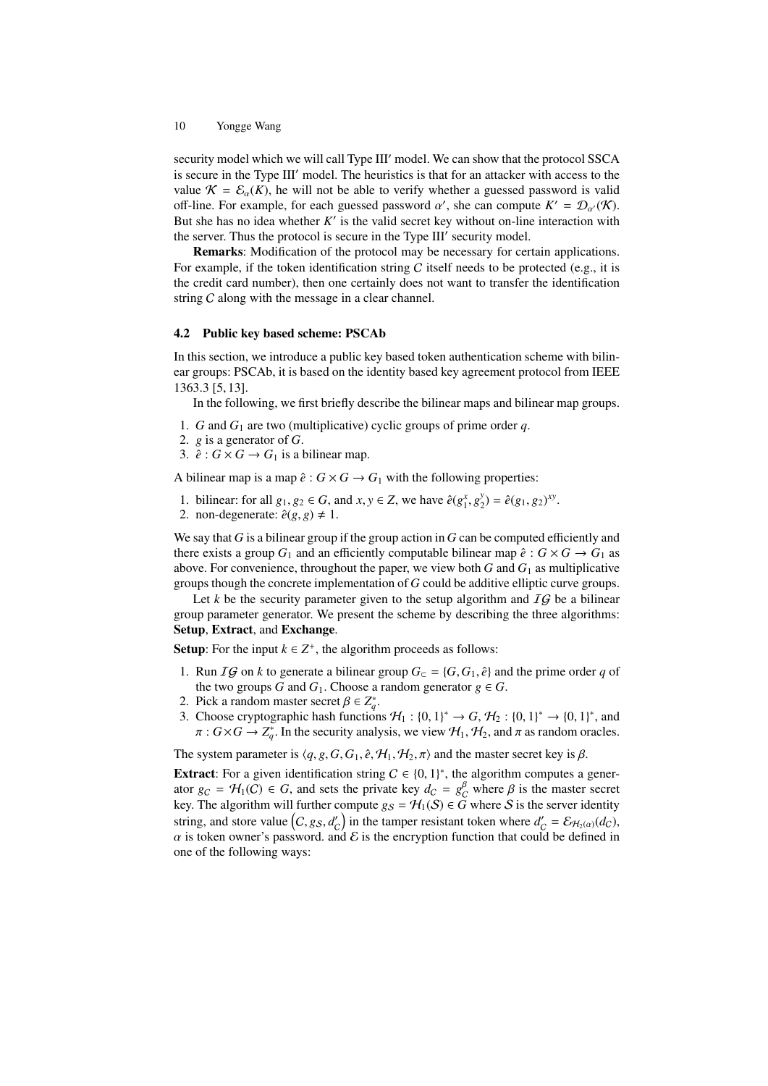security model which we will call Type III' model. We can show that the protocol SSCA is secure in the Type III' model. The heuristics is that for an attacker with access to the value  $\mathcal{K} = \mathcal{E}_{\alpha}(K)$ , he will not be able to verify whether a guessed password is valid off-line. For example, for each guessed password  $\alpha'$ , she can compute  $K' = \mathcal{D}_{\alpha'}(\mathcal{K})$ .<br>But she has no idea whether *K'* is the valid secret key without on-line interaction with But she has no idea whether  $K'$  is the valid secret key without on-line interaction with the server. Thus the protocol is secure in the Type III' security model.

Remarks: Modification of the protocol may be necessary for certain applications. For example, if the token identification string  $C$  itself needs to be protected (e.g., it is the credit card number), then one certainly does not want to transfer the identification string C along with the message in a clear channel.

#### 4.2 Public key based scheme: PSCAb

In this section, we introduce a public key based token authentication scheme with bilinear groups: PSCAb, it is based on the identity based key agreement protocol from IEEE 1363.3 [5, 13].

In the following, we first briefly describe the bilinear maps and bilinear map groups.

- 1. *G* and *G*<sup>1</sup> are two (multiplicative) cyclic groups of prime order *q*.
- 2. *g* is a generator of *G*.
- 3.  $\hat{e}: G \times G \rightarrow G_1$  is a bilinear map.

A bilinear map is a map  $\hat{e}: G \times G \rightarrow G_1$  with the following properties:

- 1. bilinear: for all  $g_1, g_2 \in G$ , and  $x, y \in Z$ , we have  $\hat{e}(g_1^x, g_2^y)$ <br>2 non-degenerate:  $\hat{e}(g \circ g) \neq 1$  $e^{y}_{2}$ ) =  $\hat{e}(g_1, g_2)^{xy}$ .
- 2. non-degenerate:  $\hat{e}(g, g) \neq 1$ .

We say that *G* is a bilinear group if the group action in *G* can be computed efficiently and there exists a group  $G_1$  and an efficiently computable bilinear map  $\hat{e}: G \times G \to G_1$  as above. For convenience, throughout the paper, we view both  $G$  and  $G_1$  as multiplicative groups though the concrete implementation of *G* could be additive elliptic curve groups.

Let  $k$  be the security parameter given to the setup algorithm and  $IG$  be a bilinear group parameter generator. We present the scheme by describing the three algorithms: Setup, Extract, and Exchange.

**Setup**: For the input  $k \in \mathbb{Z}^+$ , the algorithm proceeds as follows:

- 1. Run *IG* on *k* to generate a bilinear group  $G$  ∈ = { $G$ ,  $G$ <sub>1</sub>,  $\hat{e}$ } and the prime order *q* of the two groups *G* and  $G_1$ . Choose a random generator  $g \in G$ .
- 2. Pick a random master secret  $\beta \in Z_q^*$ .<br>3. Choose cryptographic hash function
- 3. Choose cryptographic hash functions  $\mathcal{H}_1 : \{0, 1\}^* \to G$ ,  $\mathcal{H}_2 : \{0, 1\}^* \to \{0, 1\}^*$ , and  $\pi : G \times G \to Z^*$ . In the security analysis, we view  $\mathcal{H}_1$ ,  $\mathcal{H}_2$  and  $\pi$  as random oracles  $\pi: G \times G \to Z_q^*$ . In the security analysis, we view  $\mathcal{H}_1, \mathcal{H}_2$ , and  $\pi$  as random oracles.

The system parameter is  $\langle q, g, G, G_1, \hat{e}, H_1, H_2, \pi \rangle$  and the master secret key is  $\beta$ .

**Extract:** For a given identification string  $C \in \{0, 1\}^*$ , the algorithm computes a generator  $g_0 = H_1(C) \in G$  and sets the private key  $d_0 = \sigma^{\beta}$  where  $\beta$  is the master secret ator  $g_C = H_1(C) \in G$ , and sets the private key  $d_C = g_C^B$  where  $\beta$  is the master secret<br>key The algorithm will further compute  $g_C = H_1(S) \in G$  where S is the server identity key. The algorithm will further compute  $g_S = H_1(S) \in \tilde{G}$  where S is the server identity string, and store value  $(C, g_S, d'_C)$  in the tamper resistant token where  $d'_C = \mathcal{E}_{H_2(\alpha)}(d_C)$ ,  $\alpha$  is token owner's password, and  $\mathcal{E}$  is the encryption function that could be defined in  $\alpha$  is token owner's password. and  $\epsilon$  is the encryption function that could be defined in one of the following ways: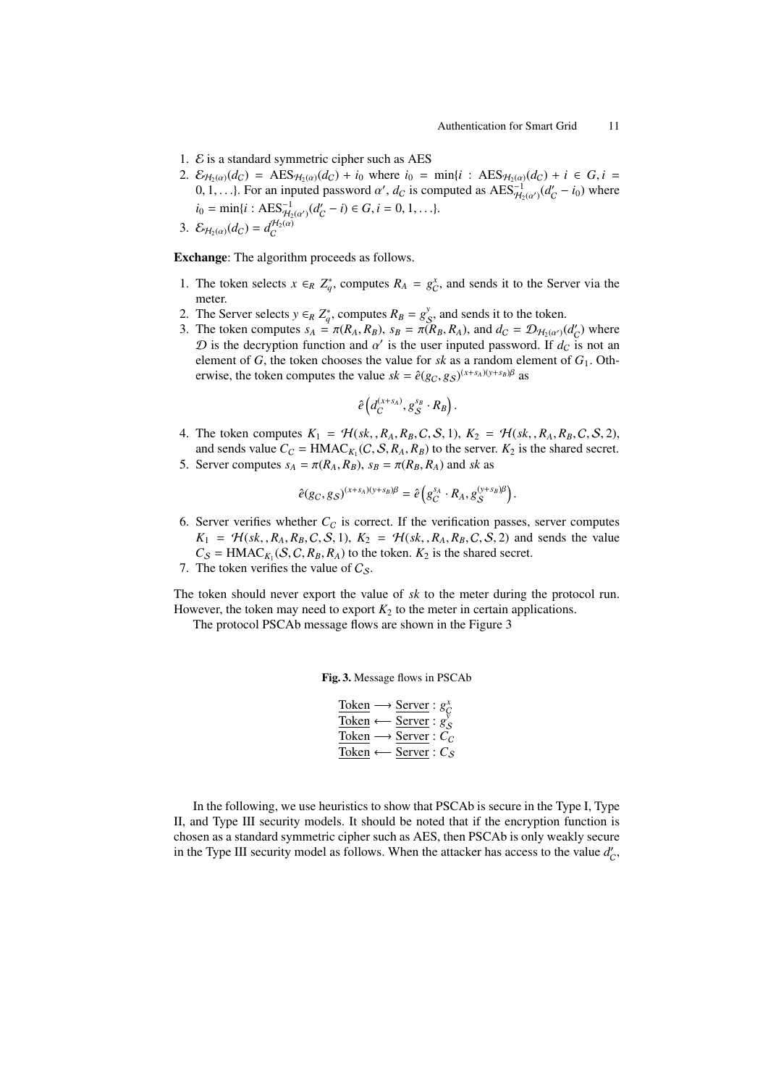- 1.  $\epsilon$  is a standard symmetric cipher such as AES
- 2.  $\mathcal{E}_{H_2(\alpha)}(d_C) = \text{AES}_{H_2(\alpha)}(d_C) + i_0$  where  $i_0 = \min\{i : \text{AES}_{H_2(\alpha)}(d_C) + i \in G, i =$ 0, 1, ...}. For an inputed password  $\alpha'$ ,  $d_C$  is computed as  $\text{AES}_{\mathcal{H}_2(\alpha')}^{-1}(d'_C - i_0)$  where  $i_0 = \min\{i : \text{AES}_{\mathcal{H}_{2}(\alpha')}^{-1}(d'_{\mathcal{C}} - i) \in G, i = 0, 1, \ldots\}.$
- 3.  $\mathcal{E}_{\mathcal{H}_2(\alpha)}(d_C) = d_C^{\mathcal{H}_2(\alpha)}$

Exchange: The algorithm proceeds as follows.

- 1. The token selects  $x \in_R Z_q^*$ , computes  $R_A = g_C^x$ , and sends it to the Server via the meter.
- 2. The Server selects  $y \in_R Z_q^*$ , computes  $R_B = g_g^y$  $S<sub>S</sub>$ , and sends it to the token.
- 3. The token computes  $s_A = \pi(R_A, R_B)$ ,  $s_B = \pi(R_B, R_A)$ , and  $d_C = \mathcal{D}_{\mathcal{H}_2(\alpha')}(d_C)$  where  $\Omega$  is the decryption function and  $\alpha'$  is the user inputed password. If  $d_{\Omega}$  is not an D is the decryption function and  $\alpha'$  is the user inputed password. If  $d_C$  is not an element of G, the token chooses the value for sk as a random element of G. Other element of *G*, the token chooses the value for *sk* as a random element of  $G_1$ . Otherwise, the token computes the value  $sk = \hat{e}(g_C, g_S)^{(x+s_A)(y+s_B)\beta}$  as

$$
\hat{e}\left(d_C^{(x+s_A)},g_S^{s_B}\cdot R_B\right)
$$

- 4. The token computes  $K_1 = H(sk, R_A, R_B, C, S, 1), K_2 = H(sk, R_A, R_B, C, S, 2),$ and sends value  $C_C = \text{HMAC}_{K_1}(C, S, R_A, R_B)$  to the server.  $K_2$  is the shared secret.<br>Server computes  $s_i = \pi(R_i, R_A)$ ,  $s_i = \pi(R_B, R_A)$  and  $s_k$  as
- 5. Server computes  $s_A = \pi(R_A, R_B)$ ,  $s_B = \pi(R_B, R_A)$  and *sk* as

$$
\hat{e}(g_C, g_S)^{(x+s_A)(y+s_B)\beta} = \hat{e}\left(g_C^{s_A} \cdot R_A, g_S^{(y+s_B)\beta}\right)
$$

- 6. Server verifies whether  $C_C$  is correct. If the verification passes, server computes  $K_1 = \mathcal{H}(sk, R_A, R_B, C, S, 1), K_2 = \mathcal{H}(sk, R_A, R_B, C, S, 2)$  and sends the value  $C_S$  = HMAC<sub>*K*1</sub></sub>(*S*, *C*, *R<sub><i>B*</sub>, *R*<sub>A</sub>) to the token. *K*<sub>2</sub> is the shared secret.<br>The token verifies the value of C<sub>c</sub>
- 7. The token verifies the value of  $C_s$ .

The token should never export the value of *sk* to the meter during the protocol run. However, the token may need to export  $K_2$  to the meter in certain applications.

The protocol PSCAb message flows are shown in the Figure 3

Fig. 3. Message flows in PSCAb

| $Token \longrightarrow$ Server : $g_C^x$ |
|------------------------------------------|
| $Token \leftarrow Server : g_S^y$        |
| Token $\longrightarrow$ Server : $C_C$   |
| $Token \leftarrow Server : CS$           |

In the following, we use heuristics to show that PSCAb is secure in the Type I, Type II, and Type III security models. It should be noted that if the encryption function is chosen as a standard symmetric cipher such as AES, then PSCAb is only weakly secure in the Type III security model as follows. When the attacker has access to the value  $d'_{\mathcal{C}}$ ,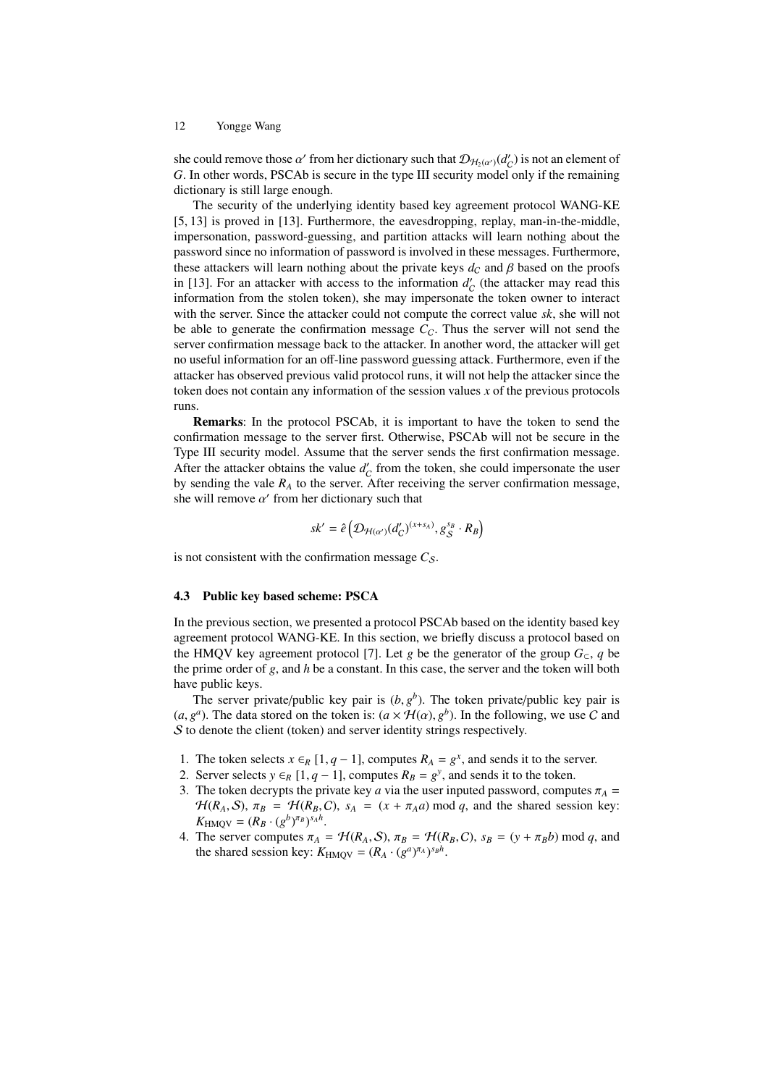she could remove those  $\alpha'$  from her dictionary such that  $\mathcal{D}_{H_2(\alpha')}(d'_C)$  is not an element of G. In other words, PSCAb is secure in the type III security model only if the remaining *G*. In other words, PSCAb is secure in the type III security model only if the remaining dictionary is still large enough.

The security of the underlying identity based key agreement protocol WANG-KE [5, 13] is proved in [13]. Furthermore, the eavesdropping, replay, man-in-the-middle, impersonation, password-guessing, and partition attacks will learn nothing about the password since no information of password is involved in these messages. Furthermore, these attackers will learn nothing about the private keys  $d_C$  and  $\beta$  based on the proofs in [13]. For an attacker with access to the information  $d'_{\mathcal{C}}$  (the attacker may read this information from the stolen token), she may impersonate the token owner to interact with the server. Since the attacker could not compute the correct value *sk*, she will not be able to generate the confirmation message  $C_C$ . Thus the server will not send the server confirmation message back to the attacker. In another word, the attacker will get no useful information for an off-line password guessing attack. Furthermore, even if the attacker has observed previous valid protocol runs, it will not help the attacker since the token does not contain any information of the session values *x* of the previous protocols runs.

Remarks: In the protocol PSCAb, it is important to have the token to send the confirmation message to the server first. Otherwise, PSCAb will not be secure in the Type III security model. Assume that the server sends the first confirmation message. After the attacker obtains the value  $d'_{\mathcal{C}}$  from the token, she could impersonate the user by sending the vale  $R_A$  to the server. After receiving the server confirmation message, she will remove  $\alpha'$  from her dictionary such that

$$
sk' = \hat{e} \left( \mathcal{D}_{\mathcal{H}(\alpha')} (d'_C)^{(x+s_A)}, g_S^{s_B} \cdot R_B \right)
$$

is not consistent with the confirmation message  $C_S$ .

#### 4.3 Public key based scheme: PSCA

In the previous section, we presented a protocol PSCAb based on the identity based key agreement protocol WANG-KE. In this section, we briefly discuss a protocol based on the HMQV key agreement protocol [7]. Let *g* be the generator of the group  $G<sub>∈</sub>$ , *q* be the prime order of *g*, and *h* be a constant. In this case, the server and the token will both have public keys.

The server private/public key pair is  $(b, g^b)$ . The token private/public key pair is  $g^a$ . The data stored on the token is:  $(a \times H(a), g^b)$ . In the following we use C and  $(a, g^a)$ . The data stored on the token is:  $(a \times \mathcal{H}(\alpha), g^b)$ . In the following, we use C and S to denote the client (token) and server identity strings respectively S to denote the client (token) and server identity strings respectively.

- 1. The token selects  $x \in_R [1, q-1]$ , computes  $R_A = g^x$ , and sends it to the server.<br>2. Server selects  $y \in_R [1, q-1]$  computes  $R_B = g^y$  and sends it to the token
- 2. Server selects  $y \in_R [1, q-1]$ , computes  $R_B = g^y$ , and sends it to the token.<br>3. The token decrypts the private key *a* via the user inputed password, computed
- 3. The token decrypts the private key *a* via the user inputed password, computes  $\pi_A$  =  $\mathcal{H}(R_A, \mathcal{S})$ ,  $\pi_B = \mathcal{H}(R_B, \mathcal{C})$ ,  $s_A = (x + \pi_A a) \mod q$ , and the shared session key:  $K_{\text{HMQV}} = (R_B \cdot (g^b)^{\pi_B})^{s_A h}.$
- 4. The server computes  $\pi_A = \mathcal{H}(R_A, \mathcal{S})$ ,  $\pi_B = \mathcal{H}(R_B, \mathcal{C})$ ,  $s_B = (y + \pi_B b) \mod q$ , and the shared session key:  $K_{\text{HMQV}} = (R_A \cdot (g^a)^{\pi_A})^{s_B h}$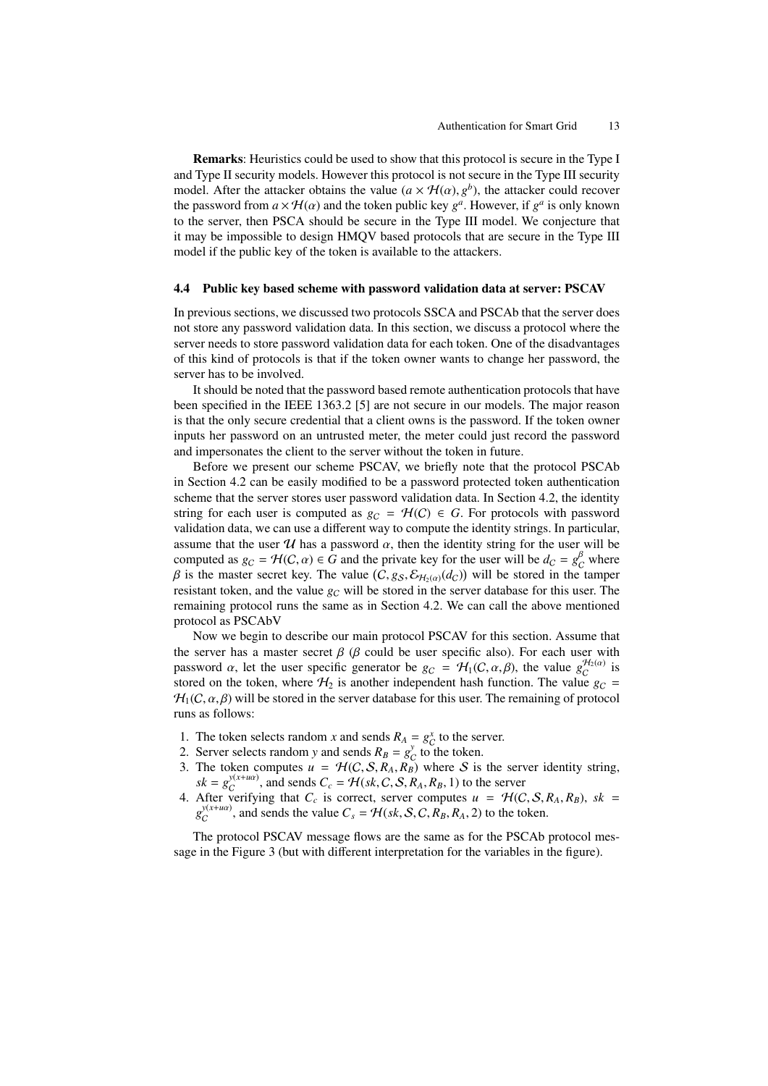Remarks: Heuristics could be used to show that this protocol is secure in the Type I and Type II security models. However this protocol is not secure in the Type III security model. After the attacker obtains the value  $(a \times \mathcal{H}(\alpha), g^b)$ , the attacker could recover<br>the password from  $a \times \mathcal{H}(\alpha)$  and the token public key  $g^a$ . However, if  $g^a$  is only known the password from  $a \times H(a)$  and the token public key  $g^a$ . However, if  $g^a$  is only known<br>to the server, then PSCA should be secure in the Type III model. We conjecture that to the server, then PSCA should be secure in the Type III model. We conjecture that it may be impossible to design HMQV based protocols that are secure in the Type III model if the public key of the token is available to the attackers.

#### 4.4 Public key based scheme with password validation data at server: PSCAV

In previous sections, we discussed two protocols SSCA and PSCAb that the server does not store any password validation data. In this section, we discuss a protocol where the server needs to store password validation data for each token. One of the disadvantages of this kind of protocols is that if the token owner wants to change her password, the server has to be involved.

It should be noted that the password based remote authentication protocols that have been specified in the IEEE 1363.2 [5] are not secure in our models. The major reason is that the only secure credential that a client owns is the password. If the token owner inputs her password on an untrusted meter, the meter could just record the password and impersonates the client to the server without the token in future.

Before we present our scheme PSCAV, we briefly note that the protocol PSCAb in Section 4.2 can be easily modified to be a password protected token authentication scheme that the server stores user password validation data. In Section 4.2, the identity string for each user is computed as  $g_C = H(C) \in G$ . For protocols with password validation data, we can use a different way to compute the identity strings. In particular, assume that the user  $U$  has a password  $\alpha$ , then the identity string for the user will be computed as  $g_C = H(C, \alpha) \in G$  and the private key for the user will be  $d_C = g_C^{\beta}$  where *R* is the master secret key. The value  $(C, g_C, \mathcal{E}_{\mathcal{U}_C}(\mathcal{A}_{\alpha}))$  will be stored in the tamper β is the master secret key. The value  $(C, g_S, \mathcal{E}_{H_2(\alpha)}(d_C))$  will be stored in the tamper resistant token and the value  $g_\alpha$  will be stored in the server database for this user. The resistant token, and the value  $g_C$  will be stored in the server database for this user. The remaining protocol runs the same as in Section 4.2. We can call the above mentioned protocol as PSCAbV

Now we begin to describe our main protocol PSCAV for this section. Assume that the server has a master secret  $\beta$  ( $\beta$  could be user specific also). For each user with password  $\alpha$ , let the user specific generator be  $g_C = H_1(C, \alpha, \beta)$ , the value  $g_C^{\mathcal{H}_2(\alpha)}$  is<br>stored on the token, where  $H_2$  is another independent hash function. The value  $g_C =$ stored on the token, where  $H_2$  is another independent hash function. The value  $g_C$  =  $\mathcal{H}_1(C, \alpha, \beta)$  will be stored in the server database for this user. The remaining of protocol runs as follows:

- 1. The token selects random *x* and sends  $R_A = g_C^x$  to the server.
- 2. Server selects random *y* and sends  $R_B = g_C^y$  to the token.
- 3. The token computes  $u = H(C, S, R_A, R_B)$  where S is the server identity string,  $sk = g_C^{\gamma(x+u\alpha)}$ , and sends  $C_c = H(sk, C, S, R_A, R_B, 1)$  to the server<br>After verifying that C is correct server computes  $\mu = H(C)$
- 4. After verifying that  $C_c$  is correct, server computes  $u = H(C, S, R_A, R_B)$ ,  $sk =$  $g_C^{y(x+u\alpha)}$ , and sends the value  $C_s = H(sk, S, C, R_B, R_A, 2)$  to the token.

The protocol PSCAV message flows are the same as for the PSCAb protocol message in the Figure 3 (but with different interpretation for the variables in the figure).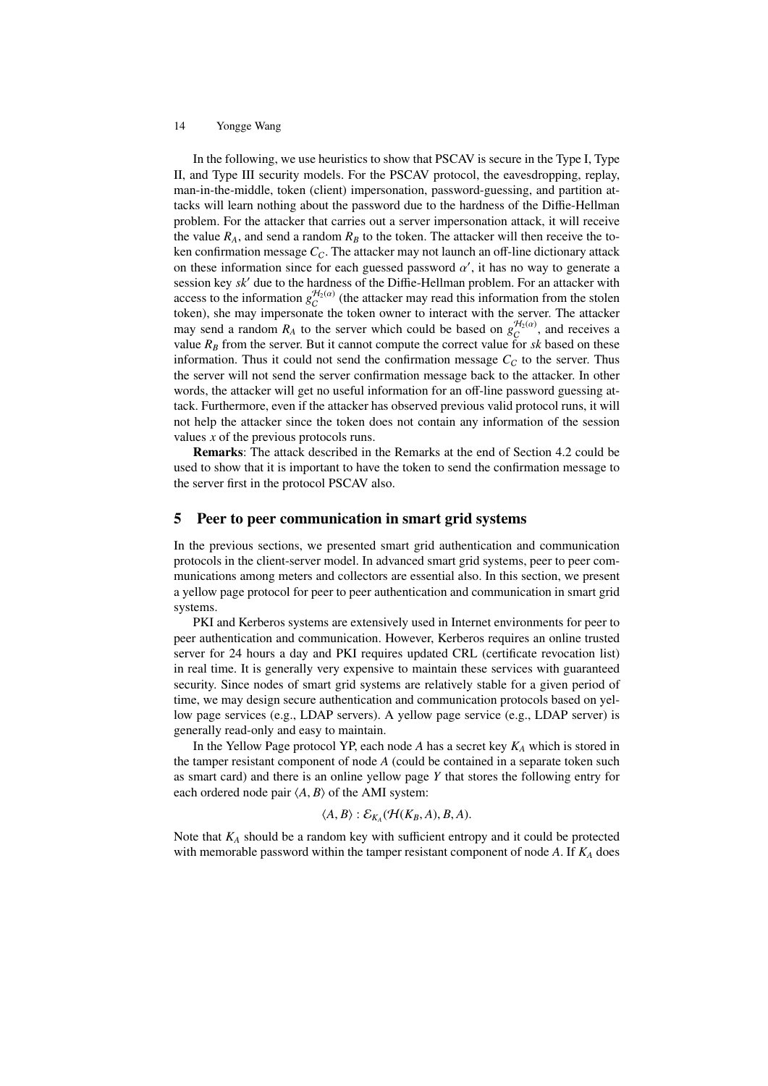In the following, we use heuristics to show that PSCAV is secure in the Type I, Type II, and Type III security models. For the PSCAV protocol, the eavesdropping, replay, man-in-the-middle, token (client) impersonation, password-guessing, and partition attacks will learn nothing about the password due to the hardness of the Diffie-Hellman problem. For the attacker that carries out a server impersonation attack, it will receive the value  $R_A$ , and send a random  $R_B$  to the token. The attacker will then receive the token confirmation message  $C_C$ . The attacker may not launch an off-line dictionary attack on these information since for each guessed password  $\alpha'$ , it has no way to generate a<br>session key sk' due to the hardness of the Diffie-Hellman problem. For an attacker with session key sk<sup>'</sup> due to the hardness of the Diffie-Hellman problem. For an attacker with access to the information  $g_C^{\mathcal{H}_2(\alpha)}$  (the attacker may read this information from the stolen token), she may impersonate the token owner to interact with the server. The attacker may send a random  $R_A$  to the server which could be based on  $g_C^{\mathcal{H}_2(\alpha)}$ , and receives a value  $R_B$  from the server. But it cannot compute the correct value for  $sk$  based on these information. Thus it could not send the confirmation message  $C_C$  to the server. Thus the server will not send the server confirmation message back to the attacker. In other words, the attacker will get no useful information for an off-line password guessing attack. Furthermore, even if the attacker has observed previous valid protocol runs, it will not help the attacker since the token does not contain any information of the session values *x* of the previous protocols runs.

Remarks: The attack described in the Remarks at the end of Section 4.2 could be used to show that it is important to have the token to send the confirmation message to the server first in the protocol PSCAV also.

### 5 Peer to peer communication in smart grid systems

In the previous sections, we presented smart grid authentication and communication protocols in the client-server model. In advanced smart grid systems, peer to peer communications among meters and collectors are essential also. In this section, we present a yellow page protocol for peer to peer authentication and communication in smart grid systems.

PKI and Kerberos systems are extensively used in Internet environments for peer to peer authentication and communication. However, Kerberos requires an online trusted server for 24 hours a day and PKI requires updated CRL (certificate revocation list) in real time. It is generally very expensive to maintain these services with guaranteed security. Since nodes of smart grid systems are relatively stable for a given period of time, we may design secure authentication and communication protocols based on yellow page services (e.g., LDAP servers). A yellow page service (e.g., LDAP server) is generally read-only and easy to maintain.

In the Yellow Page protocol YP, each node *A* has a secret key *K<sup>A</sup>* which is stored in the tamper resistant component of node *A* (could be contained in a separate token such as smart card) and there is an online yellow page *Y* that stores the following entry for each ordered node pair  $\langle A, B \rangle$  of the AMI system:

$$
\langle A, B \rangle : \mathcal{E}_{K_A}(\mathcal{H}(K_B, A), B, A).
$$

Note that *K<sup>A</sup>* should be a random key with sufficient entropy and it could be protected with memorable password within the tamper resistant component of node *A*. If *K<sup>A</sup>* does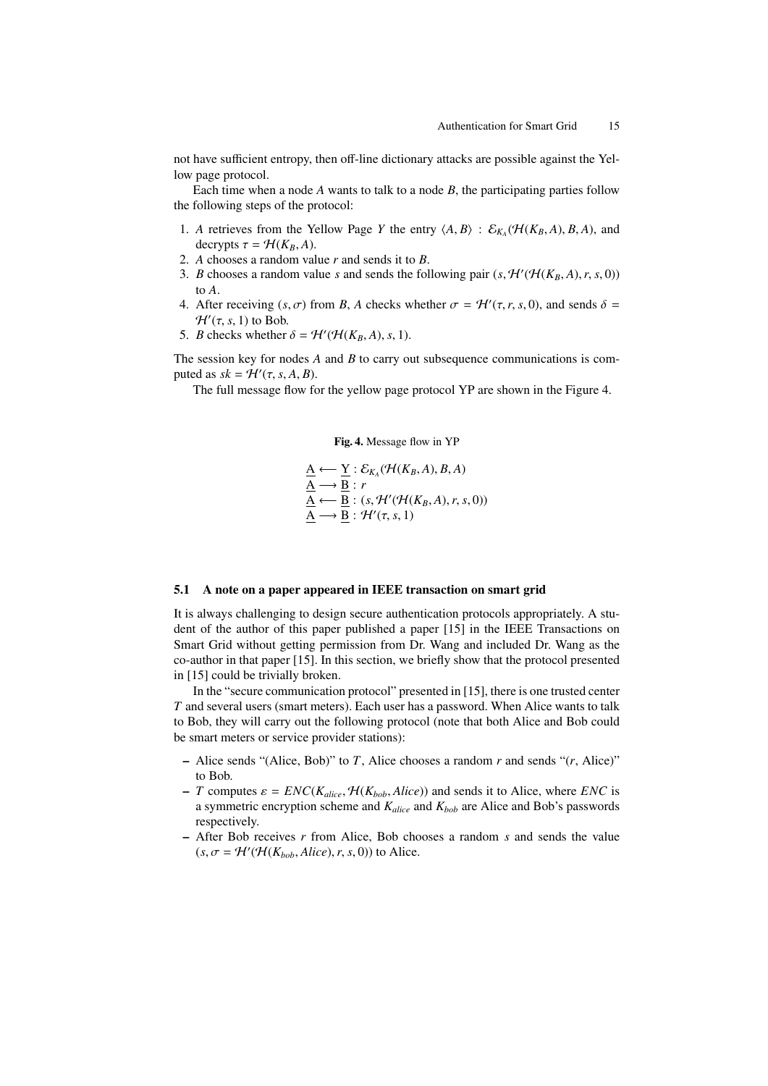not have sufficient entropy, then off-line dictionary attacks are possible against the Yellow page protocol.

Each time when a node *A* wants to talk to a node *B*, the participating parties follow the following steps of the protocol:

- 1. *A* retrieves from the Yellow Page *Y* the entry  $\langle A, B \rangle : \mathcal{E}_{K_A}(\mathcal{H}(K_B, A), B, A)$ , and decrypts  $\tau = \mathcal{H}(K_B, A)$ decrypts  $\tau = \mathcal{H}(K_B, A)$ .
- 2. *A* chooses a random value *r* and sends it to *B*.
- 3. *B* chooses a random value *s* and sends the following pair  $(s, H'(\mathcal{H}(K_B, A), r, s, 0))$ to *A*.
- 4. After receiving  $(s, \sigma)$  from *B*, *A* checks whether  $\sigma = H'(\tau, r, s, 0)$ , and sends  $\delta = H'(\tau, s, 1)$  to Bob  $H'(\tau, s, 1)$  to Bob.<br>*B* checks whether
- 5. *B* checks whether  $\delta = \mathcal{H}'(\mathcal{H}(K_B, A), s, 1)$ .

The session key for nodes *A* and *B* to carry out subsequence communications is computed as  $sk = H'(\tau, s, A, B)$ .<br>The full message flow for

The full message flow for the yellow page protocol YP are shown in the Figure 4.

Fig. 4. Message flow in YP

$$
\underline{\underline{A}} \leftarrow \underline{Y} : \mathcal{E}_{K_A}(\mathcal{H}(K_B, A), B, A) \n\underline{\underline{A}} \rightarrow \underline{\underline{B}} : r \n\underline{\underline{A}} \leftarrow \underline{\underline{B}} : (s, \mathcal{H}'(\mathcal{H}(K_B, A), r, s, 0)) \n\underline{\underline{A}} \rightarrow \underline{\underline{B}} : \mathcal{H}'(\tau, s, 1)
$$

#### 5.1 A note on a paper appeared in IEEE transaction on smart grid

It is always challenging to design secure authentication protocols appropriately. A student of the author of this paper published a paper [15] in the IEEE Transactions on Smart Grid without getting permission from Dr. Wang and included Dr. Wang as the co-author in that paper [15]. In this section, we briefly show that the protocol presented in [15] could be trivially broken.

In the "secure communication protocol" presented in [15], there is one trusted center *T* and several users (smart meters). Each user has a password. When Alice wants to talk to Bob, they will carry out the following protocol (note that both Alice and Bob could be smart meters or service provider stations):

- Alice sends "(Alice, Bob)" to *T*, Alice chooses a random *r* and sends "(*r*, Alice)" to Bob.
- $T$  computes  $\varepsilon = ENC(K_{alice}, \mathcal{H}(K_{bob}, Alice))$  and sends it to Alice, where *ENC* is a symmetric encryption scheme and *Kalice* and *Kbob* are Alice and Bob's passwords respectively.
- After Bob receives *r* from Alice, Bob chooses a random *s* and sends the value  $(s, \sigma = \mathcal{H}'(\mathcal{H}(K_{bob}, Alice), r, s, 0))$  to Alice.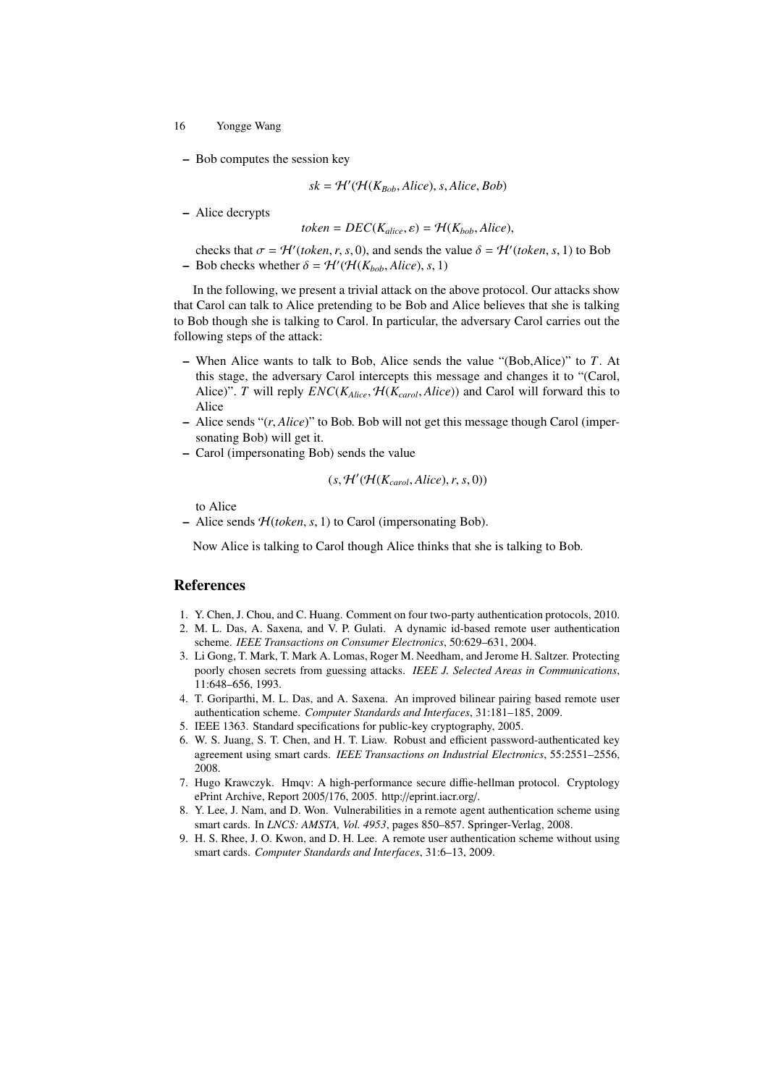- 16 Yongge Wang
	- Bob computes the session key

$$
sk = \mathcal{H}'(\mathcal{H}(K_{Bob}, Alice), s, Alice, Bob)
$$

– Alice decrypts

$$
token = DEC(K_{alice}, \varepsilon) = \mathcal{H}(K_{bob}, Alice),
$$

checks that  $\sigma = H'(token, r, s, 0)$ , and sends the value  $\delta = H'(token, s, 1)$  to Bob Bob checks whether  $\delta = H'(H(K_{t-1} \text{ Alice}) \text{ s}, 1)$  $-$  Bob checks whether  $\delta = H'(H(K_{bob}, Alice), s, 1)$ 

In the following, we present a trivial attack on the above protocol. Our attacks show that Carol can talk to Alice pretending to be Bob and Alice believes that she is talking to Bob though she is talking to Carol. In particular, the adversary Carol carries out the following steps of the attack:

- When Alice wants to talk to Bob, Alice sends the value "(Bob,Alice)" to *T*. At this stage, the adversary Carol intercepts this message and changes it to "(Carol, Alice)". *<sup>T</sup>* will reply *ENC*(*KAlice*, <sup>H</sup>(*Kcarol*, *Alice*)) and Carol will forward this to Alice
- Alice sends "(*r*, *Alice*)" to Bob. Bob will not get this message though Carol (impersonating Bob) will get it.
- Carol (impersonating Bob) sends the value

$$
(s, \mathcal{H}'(\mathcal{H}(K_{carol}, Alice), r, s, 0))
$$

to Alice

– Alice sends <sup>H</sup>(*token*, *<sup>s</sup>*, 1) to Carol (impersonating Bob).

Now Alice is talking to Carol though Alice thinks that she is talking to Bob.

## References

- 1. Y. Chen, J. Chou, and C. Huang. Comment on four two-party authentication protocols, 2010.
- 2. M. L. Das, A. Saxena, and V. P. Gulati. A dynamic id-based remote user authentication scheme. *IEEE Transactions on Consumer Electronics*, 50:629–631, 2004.
- 3. Li Gong, T. Mark, T. Mark A. Lomas, Roger M. Needham, and Jerome H. Saltzer. Protecting poorly chosen secrets from guessing attacks. *IEEE J. Selected Areas in Communications*, 11:648–656, 1993.
- 4. T. Goriparthi, M. L. Das, and A. Saxena. An improved bilinear pairing based remote user authentication scheme. *Computer Standards and Interfaces*, 31:181–185, 2009.
- 5. IEEE 1363. Standard specifications for public-key cryptography, 2005.
- 6. W. S. Juang, S. T. Chen, and H. T. Liaw. Robust and efficient password-authenticated key agreement using smart cards. *IEEE Transactions on Industrial Electronics*, 55:2551–2556, 2008.
- 7. Hugo Krawczyk. Hmqv: A high-performance secure diffie-hellman protocol. Cryptology ePrint Archive, Report 2005/176, 2005. http://eprint.iacr.org/.
- 8. Y. Lee, J. Nam, and D. Won. Vulnerabilities in a remote agent authentication scheme using smart cards. In *LNCS: AMSTA, Vol. 4953*, pages 850–857. Springer-Verlag, 2008.
- 9. H. S. Rhee, J. O. Kwon, and D. H. Lee. A remote user authentication scheme without using smart cards. *Computer Standards and Interfaces*, 31:6–13, 2009.